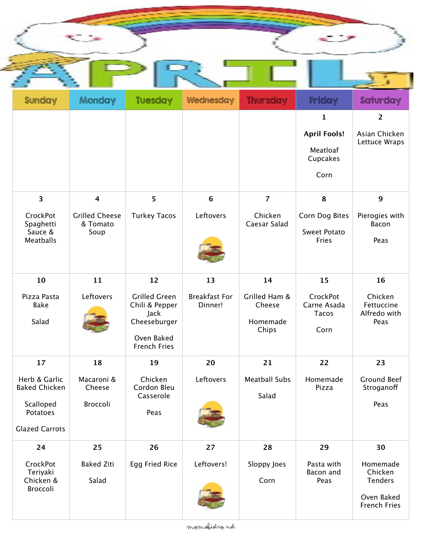

| <b>A</b> a far false a la                          | <u>egementa y</u>                         | . – County                                                                                          |                                 | eerde <del>Jaar</del> y                      | iimas y                                         | - The Booth Street Street Corporation of the Street Corporation of the Street Corporation of the Street Corporation of the Street Corporation of the Street Corporation of the Street Corporation of the Street Corporation of |
|----------------------------------------------------|-------------------------------------------|-----------------------------------------------------------------------------------------------------|---------------------------------|----------------------------------------------|-------------------------------------------------|--------------------------------------------------------------------------------------------------------------------------------------------------------------------------------------------------------------------------------|
|                                                    |                                           |                                                                                                     |                                 |                                              | 1                                               | $\overline{2}$                                                                                                                                                                                                                 |
|                                                    |                                           |                                                                                                     |                                 |                                              | <b>April Fools!</b>                             | Asian Chicken<br>Lettuce Wraps                                                                                                                                                                                                 |
|                                                    |                                           |                                                                                                     |                                 |                                              | Meatloaf<br>Cupcakes                            |                                                                                                                                                                                                                                |
|                                                    |                                           |                                                                                                     |                                 |                                              | Corn                                            |                                                                                                                                                                                                                                |
| $\overline{\mathbf{3}}$                            | $\overline{\mathbf{4}}$                   | 5                                                                                                   | 6                               | $\overline{7}$                               | 8                                               | $\mathbf{9}$                                                                                                                                                                                                                   |
| CrockPot<br>Spaghetti<br>Sauce &<br>Meatballs      | <b>Grilled Cheese</b><br>& Tomato<br>Soup | <b>Turkey Tacos</b>                                                                                 | Leftovers                       | Chicken<br>Caesar Salad                      | Corn Dog Bites<br><b>Sweet Potato</b><br>Fries  | Pierogies with<br>Bacon<br>Peas                                                                                                                                                                                                |
| 10                                                 | 11                                        | 12                                                                                                  | 13                              | 14                                           | 15                                              | 16                                                                                                                                                                                                                             |
| Pizza Pasta<br>Bake<br>Salad                       | Leftovers                                 | <b>Grilled Green</b><br>Chili & Pepper<br>Jack<br>Cheeseburger<br>Oven Baked<br><b>French Fries</b> | <b>Breakfast For</b><br>Dinner! | Grilled Ham &<br>Cheese<br>Homemade<br>Chips | CrockPot<br>Carne Asada<br><b>Tacos</b><br>Corn | Chicken<br>Fettuccine<br>Alfredo with<br>Peas                                                                                                                                                                                  |
| 17                                                 | 18                                        | 19                                                                                                  | 20                              | 21                                           | 22                                              | 23                                                                                                                                                                                                                             |
| Herb & Garlic<br><b>Baked Chicken</b><br>Scalloped | Macaroni &<br>Cheese<br>Broccoli          | Chicken<br>Cordon Bleu<br>Casserole<br>Peas                                                         | Leftovers                       | <b>Meatball Subs</b><br>Salad                | Homemade<br>Pizza                               | <b>Ground Beef</b><br>Stroganoff<br>Peas                                                                                                                                                                                       |
| Potatoes<br><b>Glazed Carrots</b>                  |                                           |                                                                                                     |                                 |                                              |                                                 |                                                                                                                                                                                                                                |
| 24                                                 | 25                                        | 26                                                                                                  | 27                              | 28                                           | 29                                              | 30                                                                                                                                                                                                                             |
| CrockPot<br>Teriyaki<br>Chicken &<br>Broccoli      | <b>Baked Ziti</b><br>Salad                | Egg Fried Rice                                                                                      | Leftovers!                      | Sloppy Joes<br>Corn                          | Pasta with<br>Bacon and<br>Peas                 | Homemade<br>Chicken<br>Tenders<br>Oven Baked<br><b>French Fries</b>                                                                                                                                                            |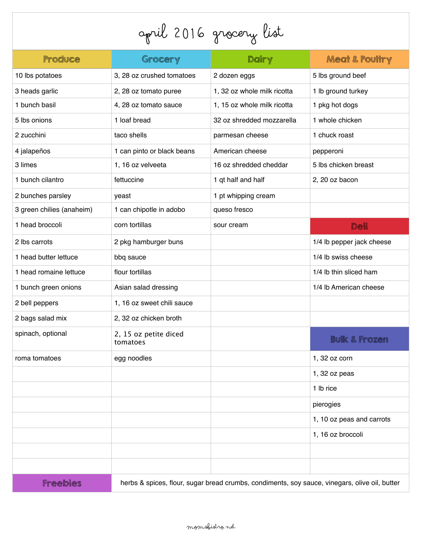## April 2016 Grocery List

| Produce                   | Grocery                                                                                       | Dairy                       | <b>Meat &amp; Poultry</b> |  |
|---------------------------|-----------------------------------------------------------------------------------------------|-----------------------------|---------------------------|--|
| 10 lbs potatoes           | 3, 28 oz crushed tomatoes                                                                     | 2 dozen eggs                | 5 lbs ground beef         |  |
| 3 heads garlic            | 2, 28 oz tomato puree                                                                         | 1, 32 oz whole milk ricotta | 1 lb ground turkey        |  |
| 1 bunch basil             | 4, 28 oz tomato sauce                                                                         | 1, 15 oz whole milk ricotta | 1 pkg hot dogs            |  |
| 5 lbs onions              | 1 loaf bread                                                                                  | 32 oz shredded mozzarella   | 1 whole chicken           |  |
| 2 zucchini                | taco shells                                                                                   | parmesan cheese             | 1 chuck roast             |  |
| 4 jalapeños               | 1 can pinto or black beans                                                                    | American cheese             | pepperoni                 |  |
| 3 limes                   | 1, 16 oz velveeta                                                                             | 16 oz shredded cheddar      | 5 lbs chicken breast      |  |
| 1 bunch cilantro          | fettuccine                                                                                    | 1 qt half and half          | 2, 20 oz bacon            |  |
| 2 bunches parsley         | yeast                                                                                         | 1 pt whipping cream         |                           |  |
| 3 green chilies (anaheim) | 1 can chipotle in adobo                                                                       | queso fresco                |                           |  |
| 1 head broccoli           | corn tortillas                                                                                | sour cream                  | Deli                      |  |
| 2 lbs carrots             | 2 pkg hamburger buns                                                                          |                             | 1/4 lb pepper jack cheese |  |
| 1 head butter lettuce     | bbq sauce                                                                                     |                             | 1/4 lb swiss cheese       |  |
| 1 head romaine lettuce    | flour tortillas                                                                               |                             | 1/4 lb thin sliced ham    |  |
| 1 bunch green onions      | Asian salad dressing                                                                          |                             | 1/4 lb American cheese    |  |
| 2 bell peppers            | 1, 16 oz sweet chili sauce                                                                    |                             |                           |  |
| 2 bags salad mix          | 2, 32 oz chicken broth                                                                        |                             |                           |  |
| spinach, optional         | 2, 15 oz petite diced<br>tomatoes                                                             |                             | <b>Bulk &amp; Frozen</b>  |  |
| roma tomatoes             | egg noodles                                                                                   |                             | 1, 32 oz corn             |  |
|                           |                                                                                               |                             | $1,32$ oz peas            |  |
|                           |                                                                                               |                             | 1 lb rice                 |  |
|                           |                                                                                               |                             | pierogies                 |  |
|                           |                                                                                               |                             | 1, 10 oz peas and carrots |  |
|                           |                                                                                               |                             | 1, 16 oz broccoli         |  |
|                           |                                                                                               |                             |                           |  |
|                           |                                                                                               |                             |                           |  |
| <b>Freebies</b>           | herbs & spices, flour, sugar bread crumbs, condiments, soy sauce, vinegars, olive oil, butter |                             |                           |  |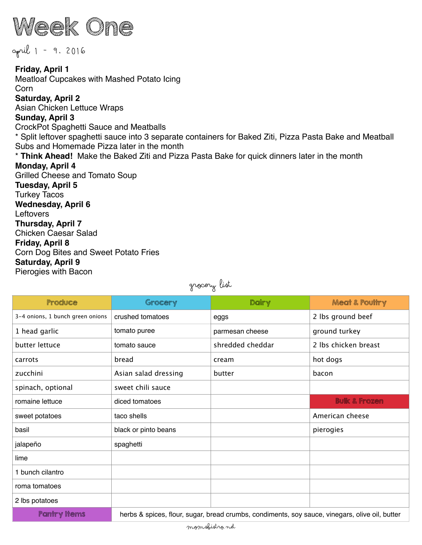

April 1 - 9, 2016

**Friday, April 1**  Meatloaf Cupcakes with Mashed Potato Icing Corn **Saturday, April 2**  Asian Chicken Lettuce Wraps **Sunday, April 3**  CrockPot Spaghetti Sauce and Meatballs \* Split leftover spaghetti sauce into 3 separate containers for Baked Ziti, Pizza Pasta Bake and Meatball Subs and Homemade Pizza later in the month \* **Think Ahead!** Make the Baked Ziti and Pizza Pasta Bake for quick dinners later in the month **Monday, April 4**  Grilled Cheese and Tomato Soup **Tuesday, April 5**  Turkey Tacos **Wednesday, April 6 Leftovers Thursday, April 7**  Chicken Caesar Salad **Friday, April 8**  Corn Dog Bites and Sweet Potato Fries **Saturday, April 9** 

Pierogies with Bacon

grocery list

| Produce                          | Grocery                                                                                        | Dairy            | <b>Meat &amp; Poultry</b> |  |
|----------------------------------|------------------------------------------------------------------------------------------------|------------------|---------------------------|--|
| 3-4 onions, 1 bunch green onions | crushed tomatoes                                                                               | eggs             | 2 lbs ground beef         |  |
| 1 head garlic                    | tomato puree                                                                                   | parmesan cheese  | ground turkey             |  |
| butter lettuce                   | tomato sauce                                                                                   | shredded cheddar | 2 lbs chicken breast      |  |
| carrots                          | bread                                                                                          | cream            | hot dogs                  |  |
| zucchini                         | Asian salad dressing                                                                           | butter           | bacon                     |  |
| spinach, optional                | sweet chili sauce                                                                              |                  |                           |  |
| romaine lettuce                  | diced tomatoes                                                                                 |                  | <b>Bulk &amp; Frozen</b>  |  |
| sweet potatoes                   | taco shells                                                                                    |                  | American cheese           |  |
| basil                            | black or pinto beans                                                                           |                  | pierogies                 |  |
| jalapeño                         | spaghetti                                                                                      |                  |                           |  |
| lime                             |                                                                                                |                  |                           |  |
| 1 bunch cilantro                 |                                                                                                |                  |                           |  |
| roma tomatoes                    |                                                                                                |                  |                           |  |
| 2 lbs potatoes                   |                                                                                                |                  |                           |  |
| <b>Pantry Items</b>              | herbs & spices, flour, sugar, bread crumbs, condiments, soy sauce, vinegars, olive oil, butter |                  |                           |  |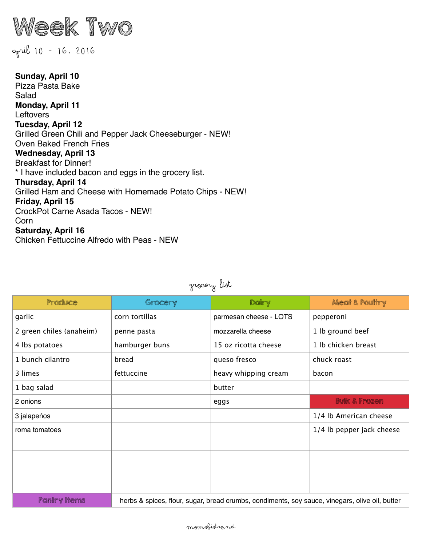

## April 10 - 16, 2016

**Sunday, April 10**  Pizza Pasta Bake Salad **Monday, April 11 Leftovers Tuesday, April 12** Grilled Green Chili and Pepper Jack Cheeseburger - NEW! Oven Baked French Fries **Wednesday, April 13**  Breakfast for Dinner! \* I have included bacon and eggs in the grocery list. **Thursday, April 14**  Grilled Ham and Cheese with Homemade Potato Chips - NEW! **Friday, April 15**  CrockPot Carne Asada Tacos - NEW! Corn **Saturday, April 16**  Chicken Fettuccine Alfredo with Peas - NEW

| Produce                  | Grocery                                                                                        | Dairy                  | <b>Meat &amp; Poultry</b> |  |
|--------------------------|------------------------------------------------------------------------------------------------|------------------------|---------------------------|--|
| garlic                   | corn tortillas                                                                                 | parmesan cheese - LOTS | pepperoni                 |  |
| 2 green chiles (anaheim) | penne pasta                                                                                    | mozzarella cheese      | 1 lb ground beef          |  |
| 4 lbs potatoes           | hamburger buns                                                                                 | 15 oz ricotta cheese   | 1 lb chicken breast       |  |
| 1 bunch cilantro         | bread                                                                                          | queso fresco           | chuck roast               |  |
| 3 limes                  | fettuccine                                                                                     | heavy whipping cream   | bacon                     |  |
| 1 bag salad              |                                                                                                | butter                 |                           |  |
| 2 onions                 |                                                                                                | eggs                   | <b>Bulk &amp; Frozen</b>  |  |
| 3 jalapeńos              |                                                                                                |                        | 1/4 lb American cheese    |  |
| roma tomatoes            |                                                                                                |                        | 1/4 lb pepper jack cheese |  |
|                          |                                                                                                |                        |                           |  |
|                          |                                                                                                |                        |                           |  |
|                          |                                                                                                |                        |                           |  |
|                          |                                                                                                |                        |                           |  |
| <b>Pantry Items</b>      | herbs & spices, flour, sugar, bread crumbs, condiments, soy sauce, vinegars, olive oil, butter |                        |                           |  |

grocery list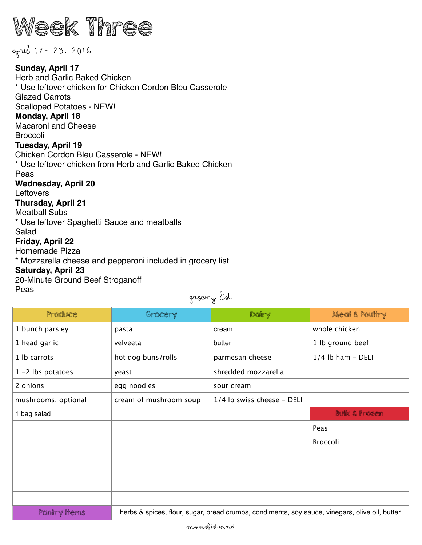

April 17- 23, 2016 **Sunday, April 17**  Herb and Garlic Baked Chicken \* Use leftover chicken for Chicken Cordon Bleu Casserole Glazed Carrots Scalloped Potatoes - NEW! **Monday, April 18**  Macaroni and Cheese **Broccoli Tuesday, April 19**  Chicken Cordon Bleu Casserole - NEW! \* Use leftover chicken from Herb and Garlic Baked Chicken Peas **Wednesday, April 20**  Leftovers **Thursday, April 21**  Meatball Subs \* Use leftover Spaghetti Sauce and meatballs Salad **Friday, April 22**  Homemade Pizza \* Mozzarella cheese and pepperoni included in grocery list **Saturday, April 23**  20-Minute Ground Beef Stroganoff Peas grocery list

| Produce              | Grocery                                                                                        | Dairy                      | <b>Meat &amp; Poultry</b> |  |
|----------------------|------------------------------------------------------------------------------------------------|----------------------------|---------------------------|--|
| 1 bunch parsley      | pasta                                                                                          | cream                      | whole chicken             |  |
| 1 head garlic        | velveeta                                                                                       | butter                     | 1 lb ground beef          |  |
| 1 lb carrots         | hot dog buns/rolls                                                                             | parmesan cheese            | $1/4$ lb ham - DELI       |  |
| $1 - 2$ lbs potatoes | yeast                                                                                          | shredded mozzarella        |                           |  |
| 2 onions             | egg noodles                                                                                    | sour cream                 |                           |  |
| mushrooms, optional  | cream of mushroom soup                                                                         | 1/4 lb swiss cheese - DELI |                           |  |
| 1 bag salad          |                                                                                                |                            | <b>Bulk &amp; Frozen</b>  |  |
|                      |                                                                                                |                            | Peas                      |  |
|                      |                                                                                                |                            | Broccoli                  |  |
|                      |                                                                                                |                            |                           |  |
|                      |                                                                                                |                            |                           |  |
|                      |                                                                                                |                            |                           |  |
|                      |                                                                                                |                            |                           |  |
| <b>Pantry Items</b>  | herbs & spices, flour, sugar, bread crumbs, condiments, soy sauce, vinegars, olive oil, butter |                            |                           |  |